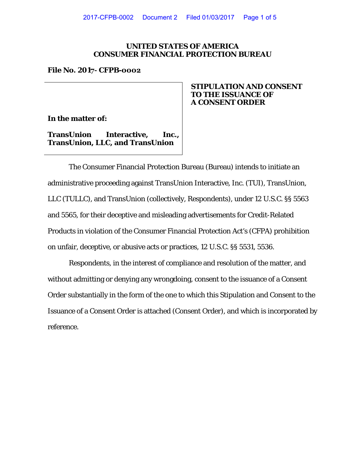### **UNITED STATES OF AMERICA CONSUMER FINANCIAL PROTECTION BUREAU**

#### **File No. 2017- CFPB-0002**

**In the matter of:** 

**TransUnion Interactive, Inc., TransUnion, LLC, and TransUnion** 

# **STIPULATION AND CONSENT TO THE ISSUANCE OF A CONSENT ORDER**

The Consumer Financial Protection Bureau (Bureau) intends to initiate an administrative proceeding against TransUnion Interactive, Inc. (TUI), TransUnion, LLC (TULLC), and TransUnion (collectively, Respondents), under 12 U.S.C. §§ 5563 and 5565, for their deceptive and misleading advertisements for Credit-Related Products in violation of the Consumer Financial Protection Act's (CFPA) prohibition on unfair, deceptive, or abusive acts or practices, 12 U.S.C. §§ 5531, 5536.

Respondents, in the interest of compliance and resolution of the matter, and without admitting or denying any wrongdoing, consent to the issuance of a Consent Order substantially in the form of the one to which this Stipulation and Consent to the Issuance of a Consent Order is attached (Consent Order), and which is incorporated by reference.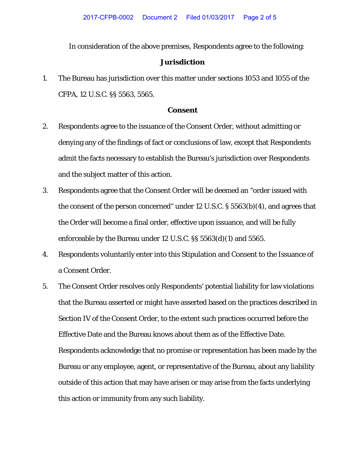In consideration of the above premises, Respondents agree to the following:

#### **Jurisdiction**

1. The Bureau has jurisdiction over this matter under sections 1053 and 1055 of the CFPA, 12 U.S.C. §§ 5563, 5565.

## **Consent**

- 2. Respondents agree to the issuance of the Consent Order, without admitting or denying any of the findings of fact or conclusions of law, except that Respondents admit the facts necessary to establish the Bureau's jurisdiction over Respondents and the subject matter of this action.
- 3. Respondents agree that the Consent Order will be deemed an "order issued with the consent of the person concerned" under 12 U.S.C. § 5563(b)(4), and agrees that the Order will become a final order, effective upon issuance, and will be fully enforceable by the Bureau under 12 U.S.C. §§ 5563(d)(1) and 5565.
- 4. Respondents voluntarily enter into this Stipulation and Consent to the Issuance of a Consent Order.
- 5. The Consent Order resolves only Respondents' potential liability for law violations that the Bureau asserted or might have asserted based on the practices described in Section IV of the Consent Order, to the extent such practices occurred before the Effective Date and the Bureau knows about them as of the Effective Date. Respondents acknowledge that no promise or representation has been made by the Bureau or any employee, agent, or representative of the Bureau, about any liability outside of this action that may have arisen or may arise from the facts underlying this action or immunity from any such liability.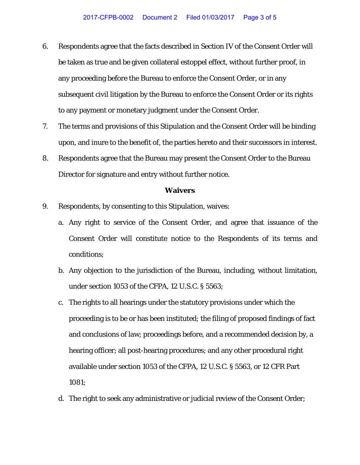- 6. Respondents agree that the facts described in Section IV of the Consent Order will be taken as true and be given collateral estoppel effect, without further proof, in any proceeding before the Bureau to enforce the Consent Order, or in any subsequent civil litigation by the Bureau to enforce the Consent Order or its rights to any payment or monetary judgment under the Consent Order.
- 7. The terms and provisions of this Stipulation and the Consent Order will be binding upon, and inure to the benefit of, the parties hereto and their successors in interest.
- 8. Respondents agree that the Bureau may present the Consent Order to the Bureau Director for signature and entry without further notice.

### **Waivers**

- 9. Respondents, by consenting to this Stipulation, waives:
	- a. Any right to service of the Consent Order, and agree that issuance of the Consent Order will constitute notice to the Respondents of its terms and conditions;
	- b. Any objection to the jurisdiction of the Bureau, including, without limitation, under section 1053 of the CFPA, 12 U.S.C. § 5563;
	- c. The rights to all hearings under the statutory provisions under which the proceeding is to be or has been instituted; the filing of proposed findings of fact and conclusions of law; proceedings before, and a recommended decision by, a hearing officer; all post-hearing procedures; and any other procedural right available under section 1053 of the CFPA, 12 U.S.C. § 5563, or 12 CFR Part 1081;
	- d. The right to seek any administrative or judicial review of the Consent Order;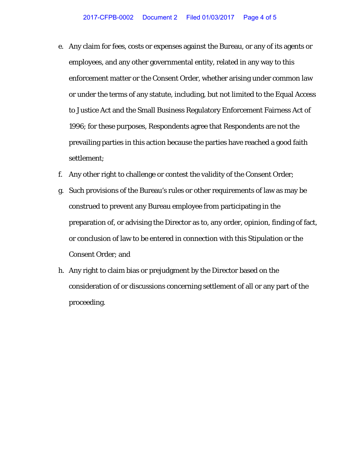- e. Any claim for fees, costs or expenses against the Bureau, or any of its agents or employees, and any other governmental entity, related in any way to this enforcement matter or the Consent Order, whether arising under common law or under the terms of any statute, including, but not limited to the Equal Access to Justice Act and the Small Business Regulatory Enforcement Fairness Act of 1996; for these purposes, Respondents agree that Respondents are not the prevailing parties in this action because the parties have reached a good faith settlement;
- f. Any other right to challenge or contest the validity of the Consent Order;
- g. Such provisions of the Bureau's rules or other requirements of law as may be construed to prevent any Bureau employee from participating in the preparation of, or advising the Director as to, any order, opinion, finding of fact, or conclusion of law to be entered in connection with this Stipulation or the Consent Order; and
- h. Any right to claim bias or prejudgment by the Director based on the consideration of or discussions concerning settlement of all or any part of the proceeding.